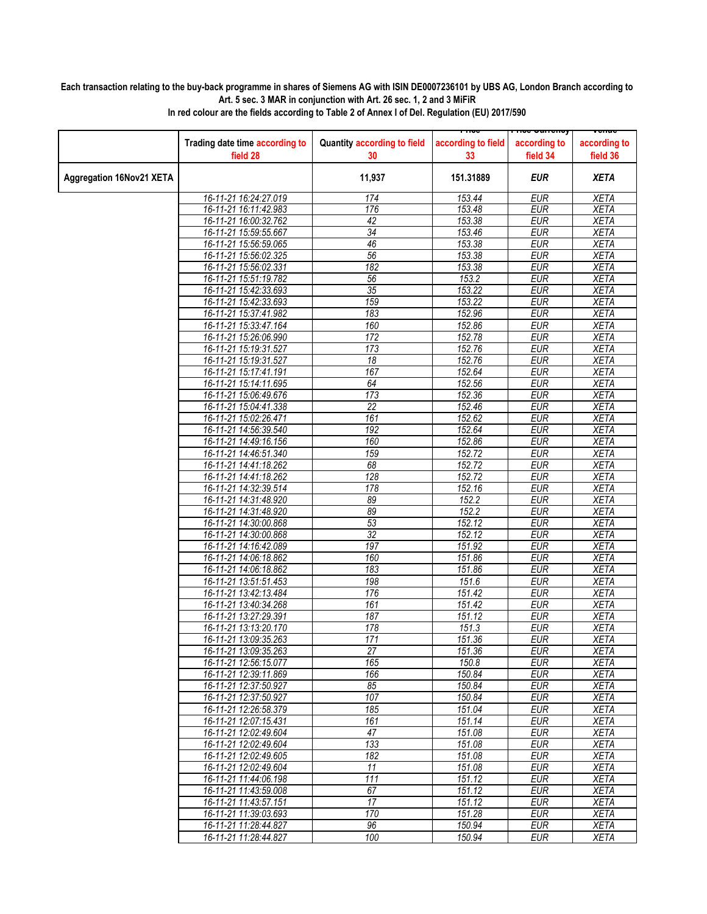## **Each transaction relating to the buy-back programme in shares of Siemens AG with ISIN DE0007236101 by UBS AG, London Branch according to Art. 5 sec. 3 MAR in conjunction with Art. 26 sec. 1, 2 and 3 MiFiR**

|                                 |                                            |                                   |                          | <del>noc ounchcy</del>   | <del>venue</del>         |
|---------------------------------|--------------------------------------------|-----------------------------------|--------------------------|--------------------------|--------------------------|
|                                 | Trading date time according to<br>field 28 | Quantity according to field<br>30 | according to field<br>33 | according to<br>field 34 | according to<br>field 36 |
| <b>Aggregation 16Nov21 XETA</b> |                                            | 11,937                            | 151.31889                | <b>EUR</b>               | <b>XETA</b>              |
|                                 | 16-11-21 16:24:27.019                      | 174                               | 153.44                   | <b>EUR</b>               | <b>XETA</b>              |
|                                 | 16-11-21 16:11:42.983                      | 176                               | 153.48                   | <b>EUR</b>               | <b>XETA</b>              |
|                                 | 16-11-21 16:00:32.762                      | 42                                | 153.38                   | <b>EUR</b>               | <b>XETA</b>              |
|                                 | 16-11-21 15:59:55.667                      | 34                                | 153.46                   | <b>EUR</b>               | <b>XETA</b>              |
|                                 | 16-11-21 15:56:59.065                      | 46                                | 153.38                   | <b>EUR</b>               | <b>XETA</b>              |
|                                 | 16-11-21 15:56:02.325                      | 56                                | 153.38                   | <b>EUR</b>               | <b>XETA</b>              |
|                                 | 16-11-21 15:56:02.331                      | $\overline{182}$                  | 153.38                   | <b>EUR</b>               | <b>XETA</b>              |
|                                 | 16-11-21 15:51:19.782                      | $\overline{56}$                   | 153.2                    | <b>EUR</b>               | <b>XETA</b>              |
|                                 |                                            | 35                                |                          | <b>EUR</b>               |                          |
|                                 | 16-11-21 15:42:33.693                      |                                   | 153.22                   |                          | <b>XETA</b>              |
|                                 | 16-11-21 15:42:33.693                      | 159                               | 153.22                   | <b>EUR</b>               | <b>XETA</b>              |
|                                 | 16-11-21 15:37:41.982                      | 183                               | 152.96                   | <b>EUR</b>               | <b>XETA</b>              |
|                                 | 16-11-21 15:33:47.164                      | 160                               | 152.86                   | <b>EUR</b>               | <b>XETA</b>              |
|                                 | 16-11-21 15:26:06.990                      | 172                               | 152.78                   | <b>EUR</b>               | <b>XETA</b>              |
|                                 | 16-11-21 15:19:31.527                      | 173                               | 152.76                   | <b>EUR</b>               | <b>XETA</b>              |
|                                 | 16-11-21 15:19:31.527                      | 18                                | 152.76                   | <b>EUR</b>               | <b>XETA</b>              |
|                                 | 16-11-21 15:17:41.191                      | 167                               | 152.64                   | <b>EUR</b>               | <b>XETA</b>              |
|                                 | 16-11-21 15:14:11.695                      | 64                                | 152.56                   | <b>EUR</b>               | <b>XETA</b>              |
|                                 | 16-11-21 15:06:49.676                      | 173                               | 152.36                   | <b>EUR</b>               | <b>XETA</b>              |
|                                 | 16-11-21 15:04:41.338                      | $\overline{22}$                   | 152.46                   | <b>EUR</b>               | <b>XETA</b>              |
|                                 | 16-11-21 15:02:26.471                      | 161                               | 152.62                   | <b>EUR</b>               | <b>XETA</b>              |
|                                 | 16-11-21 14:56:39.540                      | $\overline{192}$                  | 152.64                   | <b>EUR</b>               | <b>XETA</b>              |
|                                 | 16-11-21 14:49:16.156                      | 160                               | 152.86                   | <b>EUR</b>               | <b>XETA</b>              |
|                                 | 16-11-21 14:46:51.340                      | 159                               | 152.72                   | <b>EUR</b>               | <b>XETA</b>              |
|                                 | 16-11-21 14:41:18.262                      | 68                                | 152.72                   | <b>EUR</b>               | <b>XETA</b>              |
|                                 | 16-11-21 14:41:18.262                      | 128                               | 152.72                   | <b>EUR</b>               | <b>XETA</b>              |
|                                 | 16-11-21 14:32:39.514                      | 178                               | 152.16                   | <b>EUR</b>               | <b>XETA</b>              |
|                                 | 16-11-21 14:31:48.920                      | 89                                | 152.2                    | <b>EUR</b>               | <b>XETA</b>              |
|                                 | 16-11-21 14:31:48.920                      | 89                                | 152.2                    | <b>EUR</b>               | <b>XETA</b>              |
|                                 | 16-11-21 14:30:00.868                      | 53                                | 152.12                   | <b>EUR</b>               | <b>XETA</b>              |
|                                 | 16-11-21 14:30:00.868                      | 32                                | 152.12                   | <b>EUR</b>               | <b>XETA</b>              |
|                                 | 16-11-21 14:16:42.089                      | 197                               | 151.92                   | <b>EUR</b>               | <b>XETA</b>              |
|                                 | 16-11-21 14:06:18.862                      | 160                               | 151.86                   | <b>EUR</b>               | <b>XETA</b>              |
|                                 | 16-11-21 14:06:18.862                      | 183                               | 151.86                   | <b>EUR</b>               | <b>XETA</b>              |
|                                 | 16-11-21 13:51:51.453                      | 198                               | 151.6                    | <b>EUR</b>               | <b>XETA</b>              |
|                                 | 16-11-21 13:42:13.484                      | 176                               | 151.42                   | <b>EUR</b>               | <b>XETA</b>              |
|                                 | 16-11-21 13:40:34.268                      | 161                               | 151.42                   | <b>EUR</b>               | <b>XETA</b>              |
|                                 | 16-11-21 13:27:29.391                      | 187                               | 151.12                   | <b>EUR</b>               | <b>XETA</b>              |
|                                 | 16-11-21 13:13:20.170                      | 178                               | 151.3                    | <b>EUR</b>               | <b>XETA</b>              |
|                                 | 16-11-21 13:09:35.263                      | 171                               | 151.36                   | <b>EUR</b>               | <b>XETA</b>              |
|                                 | 16-11-21 13:09:35.263                      | 27                                |                          | <b>EUR</b>               |                          |
|                                 |                                            |                                   | 151.36                   |                          | <b>XETA</b>              |
|                                 | 16-11-21 12:56:15.077                      | 165                               | 150.8                    | <b>EUR</b>               | XETA                     |
|                                 | 16-11-21 12:39:11.869                      | 166                               | 150.84                   | <b>EUR</b>               | <b>XETA</b>              |
|                                 | 16-11-21 12:37:50.927                      | 85                                | 150.84                   | <b>EUR</b>               | XETA                     |
|                                 | 16-11-21 12:37:50.927                      | 107                               | 150.84                   | <b>EUR</b>               | <b>XETA</b>              |
|                                 | 16-11-21 12:26:58.379                      | 185                               | 151.04                   | <b>EUR</b>               | <b>XETA</b>              |
|                                 | 16-11-21 12:07:15.431                      | 161                               | 151.14                   | <b>EUR</b>               | <b>XETA</b>              |
|                                 | 16-11-21 12:02:49.604                      | 47                                | 151.08                   | <b>EUR</b>               | <b>XETA</b>              |
|                                 | 16-11-21 12:02:49.604                      | 133                               | 151.08                   | <b>EUR</b>               | XETA                     |
|                                 | 16-11-21 12:02:49.605                      | 182                               | 151.08                   | <b>EUR</b>               | <b>XETA</b>              |
|                                 | 16-11-21 12:02:49.604                      | $\overline{11}$                   | 151.08                   | <b>EUR</b>               | <b>XETA</b>              |
|                                 | 16-11-21 11:44:06.198                      | 111                               | 151.12                   | <b>EUR</b>               | <b>XETA</b>              |
|                                 | 16-11-21 11:43:59.008                      | 67                                | 151.12                   | <b>EUR</b>               | <b>XETA</b>              |
|                                 | 16-11-21 11:43:57.151                      | $\overline{17}$                   | 151.12                   | <b>EUR</b>               | <b>XETA</b>              |
|                                 | 16-11-21 11:39:03.693                      | 170                               | 151.28                   | <b>EUR</b>               | <b>XETA</b>              |
|                                 | 16-11-21 11:28:44.827                      | 96                                | 150.94                   | <b>EUR</b>               | <b>XETA</b>              |
|                                 | 16-11-21 11:28:44.827                      | 100                               | 150.94                   | <b>EUR</b>               | <b>XETA</b>              |

**In red colour are the fields according to Table 2 of Annex I of Del. Regulation (EU) 2017/590**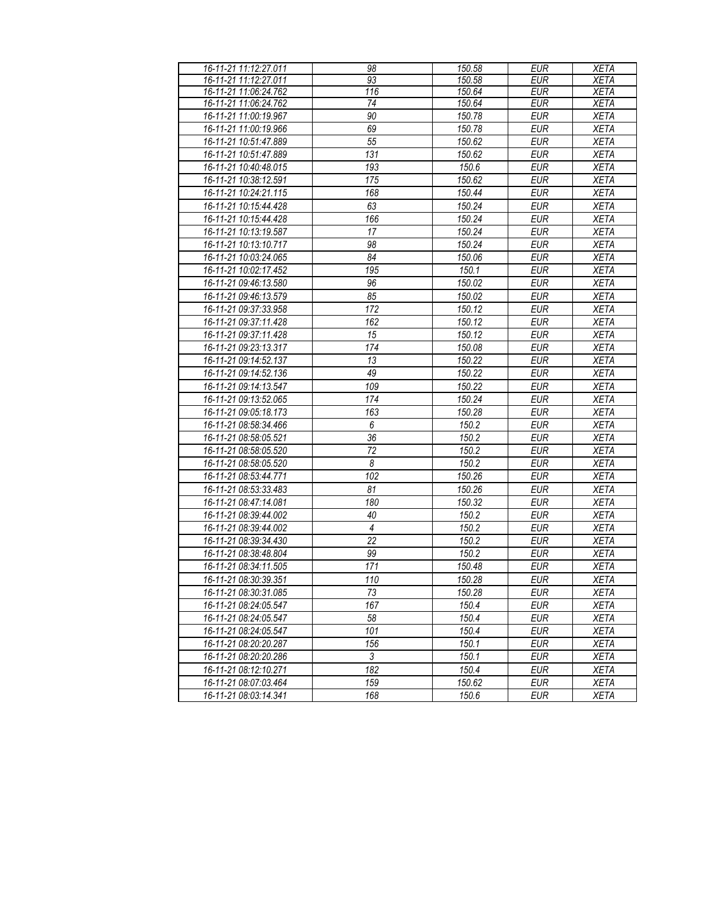| 16-11-21 11:12:27.011 | 98             | 150.58          | <b>EUR</b>               | <b>XETA</b> |
|-----------------------|----------------|-----------------|--------------------------|-------------|
| 16-11-21 11:12:27.011 | 93             | 150.58          | <b>EUR</b>               | <b>XETA</b> |
| 16-11-21 11:06:24.762 | 116            | 150.64          | <b>EUR</b>               | <b>XETA</b> |
| 16-11-21 11:06:24.762 | 74             | 150.64          | <b>EUR</b>               | <b>XETA</b> |
| 16-11-21 11:00:19.967 | 90             | 150.78          | <b>EUR</b>               | <b>XETA</b> |
| 16-11-21 11:00:19.966 | 69             | 150.78          | <b>EUR</b>               | <b>XETA</b> |
| 16-11-21 10:51:47.889 | 55             | 150.62          | <b>EUR</b>               | <b>XETA</b> |
| 16-11-21 10:51:47.889 | 131            | 150.62          | <b>EUR</b>               | <b>XETA</b> |
| 16-11-21 10:40:48.015 | 193            | 150.6           | <b>EUR</b>               | <b>XETA</b> |
| 16-11-21 10:38:12.591 | 175            | 150.62          | <b>EUR</b>               | <b>XETA</b> |
| 16-11-21 10:24:21.115 | 168            | 150.44          | <b>EUR</b>               | <b>XETA</b> |
| 16-11-21 10:15:44.428 | 63             | 150.24          | <b>EUR</b>               | <b>XETA</b> |
| 16-11-21 10:15:44.428 | 166            | 150.24          | <b>EUR</b>               | <b>XETA</b> |
| 16-11-21 10:13:19.587 | 17             | 150.24          | <b>EUR</b>               | <b>XETA</b> |
| 16-11-21 10:13:10.717 | 98             | 150.24          | <b>EUR</b>               | <b>XETA</b> |
| 16-11-21 10:03:24.065 | 84             | 150.06          | <b>EUR</b>               | <b>XETA</b> |
| 16-11-21 10:02:17.452 | 195            | 150.1           | EUR                      | <b>XETA</b> |
| 16-11-21 09:46:13.580 | 96             | 150.02          | <b>EUR</b>               | <b>XETA</b> |
| 16-11-21 09:46:13.579 | 85             | 150.02          | <b>EUR</b>               | <b>XETA</b> |
| 16-11-21 09:37:33.958 | 172            | 150.12          | <b>EUR</b>               | <b>XETA</b> |
| 16-11-21 09:37:11.428 | 162            | 150.12          | <b>EUR</b>               | <b>XETA</b> |
| 16-11-21 09:37:11.428 | 15             | 150.12          | <b>EUR</b>               | <b>XETA</b> |
| 16-11-21 09:23:13.317 | 174            | 150.08          | <b>EUR</b>               | <b>XETA</b> |
| 16-11-21 09:14:52.137 | 13             | 150.22          | <b>EUR</b>               | <b>XETA</b> |
| 16-11-21 09:14:52.136 | 49             | 150.22          | <b>EUR</b>               | <b>XETA</b> |
| 16-11-21 09:14:13.547 | 109            | 150.22          | <b>EUR</b>               | <b>XETA</b> |
| 16-11-21 09:13:52.065 | 174            | 150.24          | <b>EUR</b>               | <b>XETA</b> |
| 16-11-21 09:05:18.173 |                |                 |                          |             |
|                       | 163<br>6       | 150.28<br>150.2 | <b>EUR</b><br><b>EUR</b> | <b>XETA</b> |
| 16-11-21 08:58:34.466 |                |                 |                          | <b>XETA</b> |
| 16-11-21 08:58:05.521 | 36             | 150.2           | <b>EUR</b>               | <b>XETA</b> |
| 16-11-21 08:58:05.520 | 72             | 150.2           | <b>EUR</b>               | <b>XETA</b> |
| 16-11-21 08:58:05.520 | 8              | 150.2           | <b>EUR</b>               | XETA        |
| 16-11-21 08:53:44.771 | 102            | 150.26          | <b>EUR</b>               | <b>XETA</b> |
| 16-11-21 08:53:33.483 | 81             | 150.26          | <b>EUR</b>               | <b>XETA</b> |
| 16-11-21 08:47:14.081 | 180            | 150.32          | <b>EUR</b>               | <b>XETA</b> |
| 16-11-21 08:39:44.002 | 40             | 150.2           | <b>EUR</b>               | <b>XETA</b> |
| 16-11-21 08:39:44.002 | $\overline{4}$ | 150.2           | <b>EUR</b>               | <b>XETA</b> |
| 16-11-21 08:39:34.430 | 22             | 150.2           | <b>EUR</b>               | <b>XETA</b> |
| 16-11-21 08:38:48.804 | 99             | 150.2           | <b>EUR</b>               | <b>XETA</b> |
| 16-11-21 08:34:11.505 | 171            | 150.48          | <b>EUR</b>               | <b>XETA</b> |
| 16-11-21 08:30:39.351 | 110            | 150.28          | <b>EUR</b>               | <b>XETA</b> |
| 16-11-21 08:30:31.085 | 73             | 150.28          | EUR                      | <b>XETA</b> |
| 16-11-21 08:24:05.547 | 167            | 150.4           | <b>EUR</b>               | <b>XETA</b> |
| 16-11-21 08:24:05.547 | 58             | 150.4           | <b>EUR</b>               | <b>XETA</b> |
| 16-11-21 08:24:05.547 | 101            | 150.4           | EUR                      | <b>XETA</b> |
| 16-11-21 08:20:20.287 | 156            | 150.1           | <b>EUR</b>               | <b>XETA</b> |
| 16-11-21 08:20:20.286 | $\mathfrak{Z}$ | 150.1           | <b>EUR</b>               | <b>XETA</b> |
| 16-11-21 08:12:10.271 | 182            | 150.4           | <b>EUR</b>               | <b>XETA</b> |
| 16-11-21 08:07:03.464 | 159            | 150.62          | EUR                      | <b>XETA</b> |
| 16-11-21 08:03:14.341 | 168            | 150.6           | <b>EUR</b>               | <b>XETA</b> |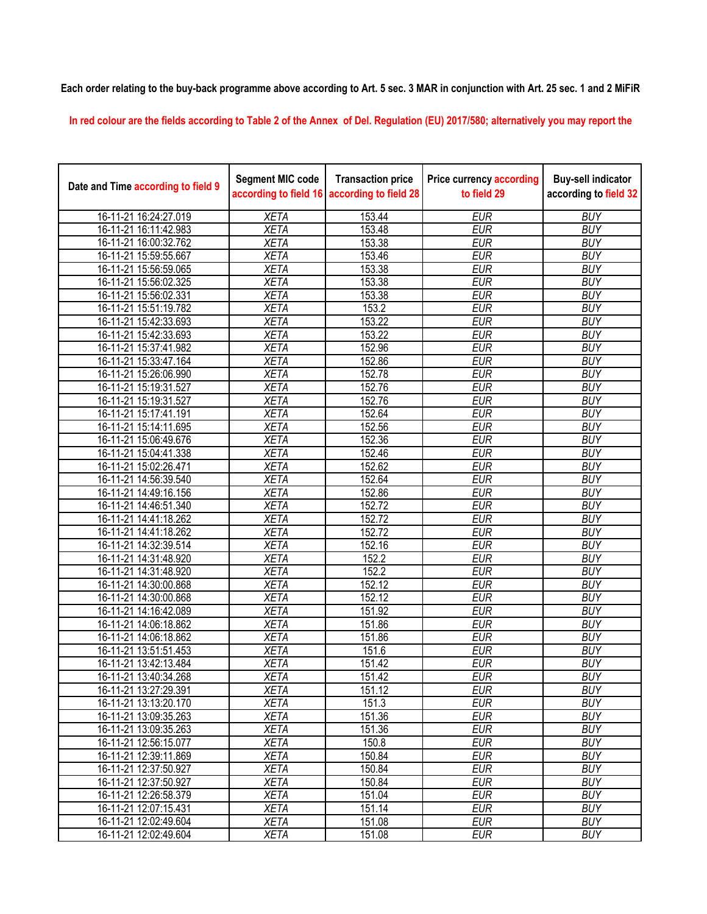**Each order relating to the buy-back programme above according to Art. 5 sec. 3 MAR in conjunction with Art. 25 sec. 1 and 2 MiFiR** 

**In red colour are the fields according to Table 2 of the Annex of Del. Regulation (EU) 2017/580; alternatively you may report the** 

| Date and Time according to field 9 | <b>Segment MIC code</b><br>according to field 16 | <b>Transaction price</b><br>according to field 28 | <b>Price currency according</b><br>to field 29 | <b>Buy-sell indicator</b><br>according to field 32 |
|------------------------------------|--------------------------------------------------|---------------------------------------------------|------------------------------------------------|----------------------------------------------------|
| 16-11-21 16:24:27.019              | <b>XETA</b>                                      | 153.44                                            | <b>EUR</b>                                     | <b>BUY</b>                                         |
| 16-11-21 16:11:42.983              | <b>XETA</b>                                      | 153.48                                            | <b>EUR</b>                                     | <b>BUY</b>                                         |
| 16-11-21 16:00:32.762              | <b>XETA</b>                                      | 153.38                                            | <b>EUR</b>                                     | <b>BUY</b>                                         |
| 16-11-21 15:59:55.667              | <b>XETA</b>                                      | 153.46                                            | <b>EUR</b>                                     | <b>BUY</b>                                         |
| 16-11-21 15:56:59.065              | <b>XETA</b>                                      | 153.38                                            | <b>EUR</b>                                     | <b>BUY</b>                                         |
| 16-11-21 15:56:02.325              | <b>XETA</b>                                      | 153.38                                            | <b>EUR</b>                                     | <b>BUY</b>                                         |
| 16-11-21 15:56:02.331              | <b>XETA</b>                                      | 153.38                                            | <b>EUR</b>                                     | <b>BUY</b>                                         |
| 16-11-21 15:51:19.782              | <b>XETA</b>                                      | 153.2                                             | <b>EUR</b>                                     | <b>BUY</b>                                         |
| 16-11-21 15:42:33.693              | <b>XETA</b>                                      | 153.22                                            | <b>EUR</b>                                     | <b>BUY</b>                                         |
| 16-11-21 15:42:33.693              | <b>XETA</b>                                      | 153.22                                            | <b>EUR</b>                                     | <b>BUY</b>                                         |
| 16-11-21 15:37:41.982              | <b>XETA</b>                                      | 152.96                                            | <b>EUR</b>                                     | <b>BUY</b>                                         |
| 16-11-21 15:33:47.164              | <b>XETA</b>                                      | 152.86                                            | <b>EUR</b>                                     | <b>BUY</b>                                         |
| 16-11-21 15:26:06.990              | <b>XETA</b>                                      | 152.78                                            | <b>EUR</b>                                     | <b>BUY</b>                                         |
| 16-11-21 15:19:31.527              | <b>XETA</b>                                      | 152.76                                            | <b>EUR</b>                                     | <b>BUY</b>                                         |
| 16-11-21 15:19:31.527              | <b>XETA</b>                                      | 152.76                                            | <b>EUR</b>                                     | <b>BUY</b>                                         |
| 16-11-21 15:17:41.191              | <b>XETA</b>                                      | 152.64                                            | <b>EUR</b>                                     | <b>BUY</b>                                         |
| 16-11-21 15:14:11.695              | <b>XETA</b>                                      | 152.56                                            | <b>EUR</b>                                     | <b>BUY</b>                                         |
| 16-11-21 15:06:49.676              | <b>XETA</b>                                      | 152.36                                            | <b>EUR</b>                                     | <b>BUY</b>                                         |
| 16-11-21 15:04:41.338              | <b>XETA</b>                                      | 152.46                                            | <b>EUR</b>                                     | <b>BUY</b>                                         |
| 16-11-21 15:02:26.471              | <b>XETA</b>                                      | 152.62                                            | <b>EUR</b>                                     | <b>BUY</b>                                         |
| 16-11-21 14:56:39.540              | <b>XETA</b>                                      | 152.64                                            | <b>EUR</b>                                     | <b>BUY</b>                                         |
| 16-11-21 14:49:16.156              | <b>XETA</b>                                      | 152.86                                            | <b>EUR</b>                                     | <b>BUY</b>                                         |
| 16-11-21 14:46:51.340              | <b>XETA</b>                                      | 152.72                                            | <b>EUR</b>                                     | <b>BUY</b>                                         |
| 16-11-21 14:41:18.262              | <b>XETA</b>                                      | 152.72                                            | <b>EUR</b>                                     | <b>BUY</b>                                         |
| 16-11-21 14:41:18.262              | <b>XETA</b>                                      | 152.72                                            | <b>EUR</b>                                     | <b>BUY</b>                                         |
| 16-11-21 14:32:39.514              | <b>XETA</b>                                      | 152.16                                            | <b>EUR</b>                                     | <b>BUY</b>                                         |
| 16-11-21 14:31:48.920              | <b>XETA</b>                                      | 152.2                                             | <b>EUR</b>                                     | <b>BUY</b>                                         |
| 16-11-21 14:31:48.920              | <b>XETA</b>                                      | 152.2                                             | <b>EUR</b>                                     | <b>BUY</b>                                         |
| 16-11-21 14:30:00.868              | <b>XETA</b>                                      | 152.12                                            | <b>EUR</b>                                     | <b>BUY</b>                                         |
| 16-11-21 14:30:00.868              | <b>XETA</b>                                      | 152.12                                            | <b>EUR</b>                                     | <b>BUY</b>                                         |
| 16-11-21 14:16:42.089              | <b>XETA</b>                                      | 151.92                                            | <b>EUR</b>                                     | <b>BUY</b>                                         |
| 16-11-21 14:06:18.862              | <b>XETA</b>                                      | 151.86                                            | <b>EUR</b>                                     | <b>BUY</b>                                         |
| 16-11-21 14:06:18.862              | <b>XETA</b>                                      | 151.86                                            | <b>EUR</b>                                     | <b>BUY</b>                                         |
| 16-11-21 13:51:51.453              | <b>XETA</b>                                      | 151.6                                             | <b>EUR</b>                                     | <b>BUY</b>                                         |
| 16-11-21 13:42:13.484              | <b>XETA</b>                                      | 151.42                                            | <b>EUR</b>                                     | <b>BUY</b>                                         |
| 16-11-21 13:40:34.268              | <b>XETA</b>                                      | 151.42                                            | <b>EUR</b>                                     | <b>BUY</b>                                         |
| 16-11-21 13:27:29.391              | <b>XETA</b>                                      | 151.12                                            | <b>EUR</b>                                     | <b>BUY</b>                                         |
| 16-11-21 13:13:20.170              | <b>XETA</b>                                      | 151.3                                             | <b>EUR</b>                                     | <b>BUY</b>                                         |
| 16-11-21 13:09:35.263              | <b>XETA</b>                                      | 151.36                                            | <b>EUR</b>                                     | <b>BUY</b>                                         |
| 16-11-21 13:09:35.263              | <b>XETA</b>                                      | 151.36                                            | <b>EUR</b>                                     | <b>BUY</b>                                         |
| 16-11-21 12:56:15.077              | <b>XETA</b>                                      | 150.8                                             | <b>EUR</b>                                     | <b>BUY</b>                                         |
| 16-11-21 12:39:11.869              | <b>XETA</b>                                      | 150.84                                            | <b>EUR</b>                                     | <b>BUY</b>                                         |
| 16-11-21 12:37:50.927              | <b>XETA</b>                                      | 150.84                                            | <b>EUR</b>                                     | <b>BUY</b>                                         |
| 16-11-21 12:37:50.927              | <b>XETA</b>                                      | 150.84                                            | <b>EUR</b>                                     | <b>BUY</b>                                         |
| 16-11-21 12:26:58.379              | <b>XETA</b>                                      | 151.04                                            | <b>EUR</b>                                     | <b>BUY</b>                                         |
| 16-11-21 12:07:15.431              | <b>XETA</b>                                      | 151.14                                            | <b>EUR</b>                                     | <b>BUY</b>                                         |
| 16-11-21 12:02:49.604              | <b>XETA</b>                                      | 151.08                                            | <b>EUR</b>                                     | <b>BUY</b>                                         |
| 16-11-21 12:02:49.604              | <b>XETA</b>                                      | 151.08                                            | <b>EUR</b>                                     | <b>BUY</b>                                         |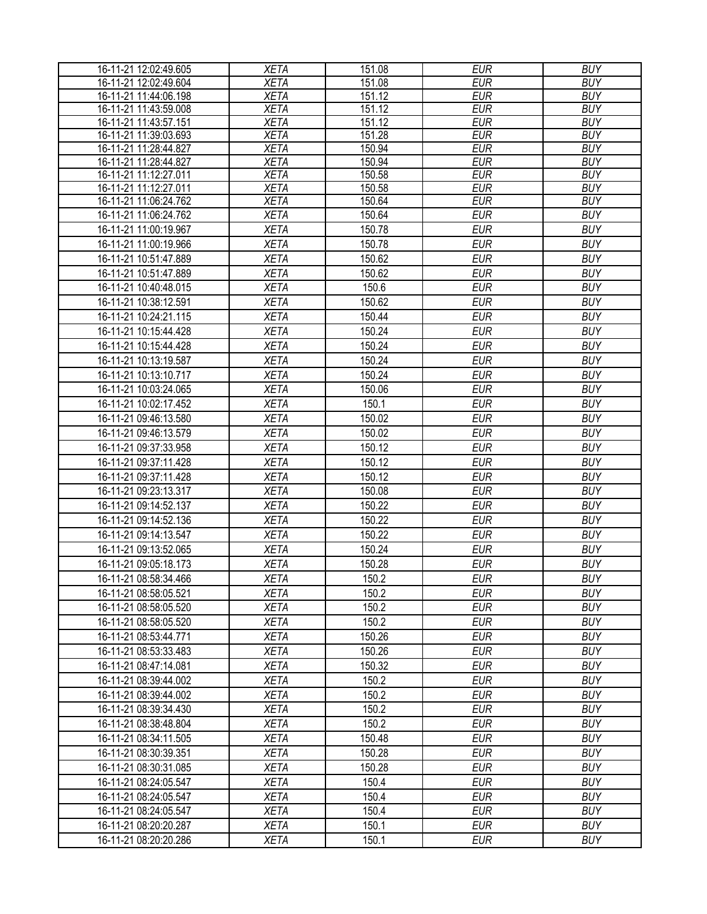| 16-11-21 12:02:49.605 | <b>XETA</b> | 151.08 | <b>EUR</b> | <b>BUY</b> |
|-----------------------|-------------|--------|------------|------------|
| 16-11-21 12:02:49.604 | <b>XETA</b> | 151.08 | <b>EUR</b> | <b>BUY</b> |
| 16-11-21 11:44:06.198 | <b>XETA</b> | 151.12 | <b>EUR</b> | <b>BUY</b> |
| 16-11-21 11:43:59.008 | <b>XETA</b> | 151.12 | <b>EUR</b> | <b>BUY</b> |
| 16-11-21 11:43:57.151 | <b>XETA</b> | 151.12 | <b>EUR</b> | <b>BUY</b> |
| 16-11-21 11:39:03.693 | <b>XETA</b> | 151.28 | <b>EUR</b> | <b>BUY</b> |
| 16-11-21 11:28:44.827 | <b>XETA</b> | 150.94 | <b>EUR</b> | <b>BUY</b> |
| 16-11-21 11:28:44.827 | <b>XETA</b> | 150.94 | <b>EUR</b> | <b>BUY</b> |
| 16-11-21 11:12:27.011 | <b>XETA</b> | 150.58 | <b>EUR</b> | <b>BUY</b> |
| 16-11-21 11:12:27.011 | <b>XETA</b> | 150.58 | <b>EUR</b> | <b>BUY</b> |
| 16-11-21 11:06:24.762 | <b>XETA</b> | 150.64 | <b>EUR</b> | <b>BUY</b> |
| 16-11-21 11:06:24.762 | <b>XETA</b> | 150.64 | <b>EUR</b> | <b>BUY</b> |
| 16-11-21 11:00:19.967 | <b>XETA</b> | 150.78 | <b>EUR</b> | <b>BUY</b> |
| 16-11-21 11:00:19.966 | <b>XETA</b> | 150.78 | <b>EUR</b> | <b>BUY</b> |
| 16-11-21 10:51:47.889 | <b>XETA</b> | 150.62 | <b>EUR</b> | <b>BUY</b> |
| 16-11-21 10:51:47.889 | <b>XETA</b> | 150.62 | <b>EUR</b> | <b>BUY</b> |
| 16-11-21 10:40:48.015 | <b>XETA</b> | 150.6  | <b>EUR</b> | <b>BUY</b> |
| 16-11-21 10:38:12.591 | <b>XETA</b> | 150.62 | <b>EUR</b> | <b>BUY</b> |
| 16-11-21 10:24:21.115 | <b>XETA</b> | 150.44 | <b>EUR</b> | <b>BUY</b> |
| 16-11-21 10:15:44.428 | <b>XETA</b> | 150.24 | <b>EUR</b> | <b>BUY</b> |
| 16-11-21 10:15:44.428 | <b>XETA</b> | 150.24 | <b>EUR</b> | <b>BUY</b> |
| 16-11-21 10:13:19.587 | <b>XETA</b> | 150.24 | <b>EUR</b> | <b>BUY</b> |
| 16-11-21 10:13:10.717 | <b>XETA</b> | 150.24 | <b>EUR</b> | <b>BUY</b> |
| 16-11-21 10:03:24.065 | <b>XETA</b> | 150.06 | <b>EUR</b> | <b>BUY</b> |
| 16-11-21 10:02:17.452 | <b>XETA</b> | 150.1  | <b>EUR</b> | <b>BUY</b> |
| 16-11-21 09:46:13.580 | <b>XETA</b> | 150.02 | <b>EUR</b> | <b>BUY</b> |
| 16-11-21 09:46:13.579 | <b>XETA</b> | 150.02 | <b>EUR</b> | <b>BUY</b> |
| 16-11-21 09:37:33.958 | <b>XETA</b> | 150.12 | <b>EUR</b> | <b>BUY</b> |
| 16-11-21 09:37:11.428 | <b>XETA</b> | 150.12 | <b>EUR</b> | <b>BUY</b> |
| 16-11-21 09:37:11.428 | <b>XETA</b> | 150.12 | <b>EUR</b> | <b>BUY</b> |
| 16-11-21 09:23:13.317 | <b>XETA</b> | 150.08 | <b>EUR</b> | <b>BUY</b> |
| 16-11-21 09:14:52.137 | <b>XETA</b> | 150.22 | <b>EUR</b> | <b>BUY</b> |
| 16-11-21 09:14:52.136 | <b>XETA</b> | 150.22 | <b>EUR</b> | <b>BUY</b> |
| 16-11-21 09:14:13.547 | <b>XETA</b> | 150.22 | <b>EUR</b> | <b>BUY</b> |
| 16-11-21 09:13:52.065 | <b>XETA</b> | 150.24 | <b>EUR</b> | <b>BUY</b> |
| 16-11-21 09:05:18.173 | <b>XETA</b> | 150.28 | <b>EUR</b> | <b>BUY</b> |
| 16-11-21 08:58:34.466 | <b>XETA</b> | 150.2  | <b>EUR</b> | <b>BUY</b> |
| 16-11-21 08:58:05.521 | <b>XETA</b> | 150.2  | <b>EUR</b> | <b>BUY</b> |
| 16-11-21 08:58:05.520 | <b>XETA</b> | 150.2  | <b>EUR</b> | <b>BUY</b> |
| 16-11-21 08:58:05.520 | <b>XETA</b> | 150.2  | <b>EUR</b> | <b>BUY</b> |
| 16-11-21 08:53:44.771 | <b>XETA</b> | 150.26 | <b>EUR</b> | <b>BUY</b> |
| 16-11-21 08:53:33.483 | <b>XETA</b> | 150.26 | <b>EUR</b> | <b>BUY</b> |
| 16-11-21 08:47:14.081 | <b>XETA</b> | 150.32 | <b>EUR</b> | <b>BUY</b> |
| 16-11-21 08:39:44.002 | <b>XETA</b> | 150.2  | <b>EUR</b> | <b>BUY</b> |
| 16-11-21 08:39:44.002 | <b>XETA</b> | 150.2  | <b>EUR</b> | <b>BUY</b> |
| 16-11-21 08:39:34.430 | <b>XETA</b> | 150.2  | <b>EUR</b> | <b>BUY</b> |
| 16-11-21 08:38:48.804 | <b>XETA</b> | 150.2  | <b>EUR</b> | <b>BUY</b> |
| 16-11-21 08:34:11.505 | <b>XETA</b> | 150.48 | <b>EUR</b> | <b>BUY</b> |
| 16-11-21 08:30:39.351 | <b>XETA</b> | 150.28 | <b>EUR</b> | <b>BUY</b> |
| 16-11-21 08:30:31.085 | <b>XETA</b> | 150.28 | <b>EUR</b> | <b>BUY</b> |
| 16-11-21 08:24:05.547 | <b>XETA</b> | 150.4  | <b>EUR</b> | <b>BUY</b> |
| 16-11-21 08:24:05.547 | <b>XETA</b> | 150.4  | <b>EUR</b> | <b>BUY</b> |
| 16-11-21 08:24:05.547 | <b>XETA</b> | 150.4  | <b>EUR</b> | <b>BUY</b> |
| 16-11-21 08:20:20.287 | <b>XETA</b> | 150.1  | <b>EUR</b> | <b>BUY</b> |
| 16-11-21 08:20:20.286 | <b>XETA</b> | 150.1  | <b>EUR</b> | <b>BUY</b> |